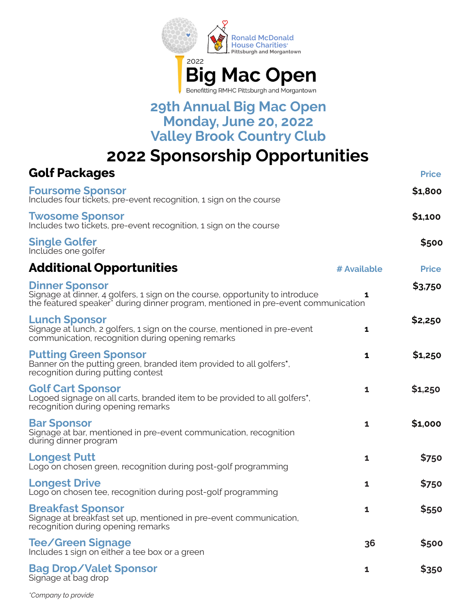

## **29th Annual Big Mac Open Monday, June 20, 2022 Valley Brook Country Club**

**2022 Sponsorship Opportunities**

| <b>Golf Packages</b>                                                                                                                                                                                   |              | <b>Price</b> |
|--------------------------------------------------------------------------------------------------------------------------------------------------------------------------------------------------------|--------------|--------------|
| <b>Foursome Sponsor</b><br>Includes four tickets, pre-event recognition, 1 sign on the course                                                                                                          |              | \$1,800      |
| <b>Twosome Sponsor</b><br>Includes two tickets, pre-event recognition, 1 sign on the course                                                                                                            |              | \$1,100      |
| <b>Single Golfer</b><br>Includes one golfer                                                                                                                                                            |              | \$500        |
| <b>Additional Opportunities</b>                                                                                                                                                                        | # Available  | <b>Price</b> |
| <b>Dinner Sponsor</b><br>Signage at dinner, 4 golfers, 1 sign on the course, opportunity to introduce<br>the featured speaker <sup>*</sup> during dinner program, mentioned in pre-event communication | 1            | \$3,750      |
| <b>Lunch Sponsor</b><br>Signage at lunch, 2 golfers, 1 sign on the course, mentioned in pre-event<br>communication, recognition during opening remarks                                                 | $\mathbf{1}$ | \$2,250      |
| <b>Putting Green Sponsor</b><br>Banner on the putting green, branded item provided to all golfers*,<br>recognition during putting contest                                                              | 1            | \$1,250      |
| <b>Golf Cart Sponsor</b><br>Logoed signage on all carts, branded item to be provided to all golfers <sup>*</sup> ,<br>recognition during opening remarks                                               | 1            | \$1,250      |
| <b>Bar Sponsor</b><br>Signage at bar, mentioned in pre-event communication, recognition<br>during dinner program                                                                                       | $\mathbf{1}$ | \$1,000      |
| <b>Longest Putt</b><br>Logo on chosen green, recognition during post-golf programming                                                                                                                  | $\mathbf{1}$ | \$750        |
| <b>Longest Drive</b><br>Logo on chosen tee, recognition during post-golf programming                                                                                                                   | $\mathbf{1}$ | \$750        |
| <b>Breakfast Sponsor</b><br>Signage at breakfast set up, mentioned in pre-event communication,<br>recognition during opening remarks                                                                   | 1            | \$550        |
| <b>Tee/Green Signage</b><br>Includes 1 sign on either a tee box or a green                                                                                                                             | 36           | \$500        |
| <b>Bag Drop/Valet Sponsor</b><br>Signage at bag drop                                                                                                                                                   | 1            | \$350        |

*\*Company to provide*